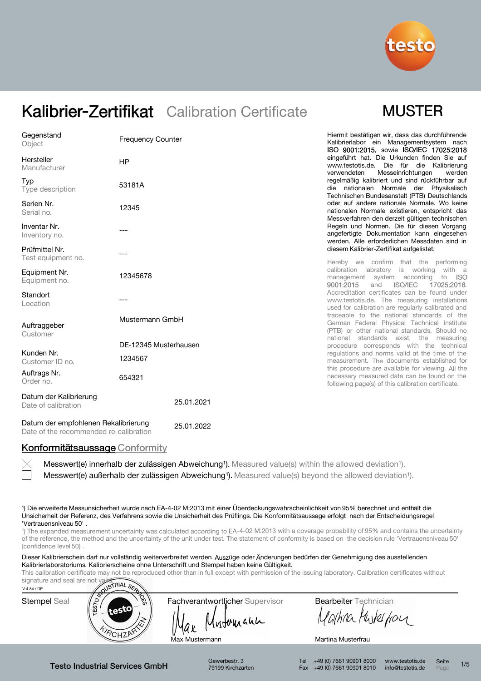

## **MUSTER**

| Gegenstand<br>Object                          | <b>Frequency Counter</b> | Hiermit bestätigen wir, dass das durchführende<br>Kalibrierlabor ein Managementsystem nach<br>ISO 9001:2015, sowie ISO/IEC 17025:2018                  |
|-----------------------------------------------|--------------------------|--------------------------------------------------------------------------------------------------------------------------------------------------------|
| Hersteller<br>Manufacturer                    | HP                       | eingeführt hat. Die Urkunden finden Sie auf<br>www.testotis.de. Die für die Kalibrierung<br>Messeinrichtungen<br>verwendeten<br>werden                 |
| Typ<br>Type description                       | 53181A                   | regelmäßig kalibriert und sind rückführbar auf<br>die nationalen Normale der Physikalisch<br>Technischen Bundesanstalt (PTB) Deutschlands              |
| Serien Nr.<br>Serial no.                      | 12345                    | oder auf andere nationale Normale. Wo keine<br>nationalen Normale existieren, entspricht das<br>Messverfahren den derzeit gültigen technischen         |
| Inventar Nr.<br>Inventory no.                 |                          | Regeln und Normen. Die für diesen Vorgang<br>angefertigte Dokumentation kann eingesehen<br>werden. Alle erforderlichen Messdaten sind in               |
| Prüfmittel Nr.<br>Test equipment no.          |                          | diesem Kalibrier-Zertifikat aufgelistet.<br>Hereby we confirm that the performing                                                                      |
| Equipment Nr.<br>Equipment no.                | 12345678                 | calibration labratory is working with a<br>management system according<br>to<br>- ISO<br>9001:2015<br><b>ISO/IEC</b><br>17025:2018.<br>and             |
| Standort<br>Location                          |                          | Accreditation certificates can be found under<br>www.testotis.de. The measuring installations<br>used for calibration are regularly calibrated and     |
| Auftraggeber<br>Customer                      | Mustermann GmbH          | traceable to the national standards of the<br>German Federal Physical Technical Institute<br>(PTB) or other national standards. Should no              |
|                                               | DE-12345 Musterhausen    | national standards exist, the measuring<br>procedure corresponds with the technical                                                                    |
| Kunden Nr.<br>Customer ID no.                 | 1234567                  | regulations and norms valid at the time of the<br>measurement. The documents established for                                                           |
| Auftrags Nr.<br>Order no.                     | 654321                   | this procedure are available for viewing. All the<br>necessary measured data can be found on the<br>following page(s) of this calibration certificate. |
| Datum der Kalibrierung<br>Date of calibration | 25.01.2021               |                                                                                                                                                        |

Datum der empfohlenen Rekalibrierung Date of the recommended re-calibration 25.01.2022

### Konformitätsaussage Conformity

Messwert(e) außerhalb der zulässigen Abweichung<sup>1</sup>). Measured value(s) beyond the allowed deviation<sup>1</sup>). Messwert(e) innerhalb der zulässigen Abweichung<sup>1</sup>). Measured value(s) within the allowed deviation<sup>1</sup>).

¹) Die erweiterte Messunsicherheit wurde nach EA-4-02 M:2013 mit einer Überdeckungswahrscheinlichkeit von 95% berechnet und enthält die Unsicherheit der Referenz, des Verfahrens sowie die Unsicherheit des Prüflings. Die Konformitätsaussage erfolgt nach der Entscheidungsregel 'Vertrauensniveau 50' .

<sup>1</sup>) The expanded measurement uncertainty was calculated according to EA-4-02 M:2013 with a coverage probability of 95% and contains the uncertainty of the reference, the method and the uncertainty of the unit under test. The statement of conformity is based on the decision rule 'Vertrauensniveau 50' (confidence level 50)

Dieser Kalibrierschein darf nur vollständig weiterverbreitet werden. Auszüge oder Änderungen bedürfen der Genehmigung des ausstellenden Kalibrierlaboratoriums. Kalibrierscheine ohne Unterschrift und Stempel haben keine Gültigkeit.

This calibration certificate may not be reproduced other than in full except with permission of the issuing laboratory. Calibration certificates without



Gewerbestr. 3 79199 Kirchzarten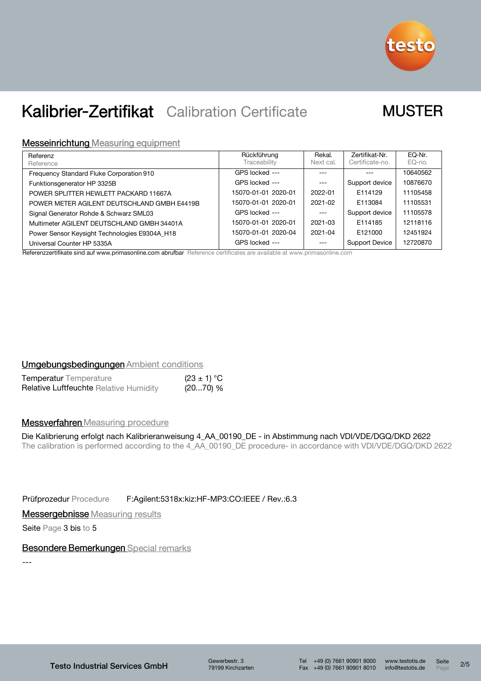

## **MUSTER**

### **Messeinrichtung Measuring equipment**

| Referenz                                      | Rückführung         | Rekal.    | Zertifikat-Nr.        | EQ-Nr.   |
|-----------------------------------------------|---------------------|-----------|-----------------------|----------|
| Reference                                     | Traceability        | Next cal. | Certificate-no.       | EQ-no.   |
| Frequency Standard Fluke Corporation 910      | GPS locked ---      | ---       |                       | 10640562 |
| Funktionsgenerator HP 3325B                   | GPS locked ---      | $---$     | Support device        | 10876670 |
| POWER SPLITTER HEWLETT PACKARD 11667A         | 15070-01-01 2020-01 | 2022-01   | E114129               | 11105458 |
| POWER METER AGILENT DEUTSCHLAND GMBH E4419B   | 15070-01-01 2020-01 | 2021-02   | E113084               | 11105531 |
| Signal Generator Rohde & Schwarz SML03        | GPS locked ---      | $---$     | Support device        | 11105578 |
| Multimeter AGILENT DEUTSCHLAND GMBH 34401A    | 15070-01-01 2020-01 | 2021-03   | E114185               | 12118116 |
| Power Sensor Keysight Technologies E9304A_H18 | 15070-01-01 2020-04 | 2021-04   | E121000               | 12451924 |
| Universal Counter HP 5335A<br>$\sim$          | GPS locked ---      | $---$     | <b>Support Device</b> | 12720870 |

Referenzzertifikate sind auf www.primasonline.com abrufbar Reference certificates are available at www.primasonline.com

#### **Umgebungsbedingungen Ambient conditions**

| <b>Temperatur</b> Temperature          | $(23 \pm 1) °C$ |
|----------------------------------------|-----------------|
| Relative Luftfeuchte Relative Humidity | (2070) %        |

### **Messverfahren** Measuring procedure

### Die Kalibrierung erfolgt nach Kalibrieranweisung 4\_AA\_00190\_DE - in Abstimmung nach VDI/VDE/DGQ/DKD 2622

The calibration is performed according to the 4\_AA\_00190\_DE procedure- in accordance with VDI/VDE/DGQ/DKD 2622

Prüfprozedur Procedure F:Agilent:5318x:kiz:HF-MP3:CO:IEEE / Rev.:6.3

**Messergebnisse** Measuring results

Seite Page 3 bis to 5

### Besondere Bemerkungen Special remarks

---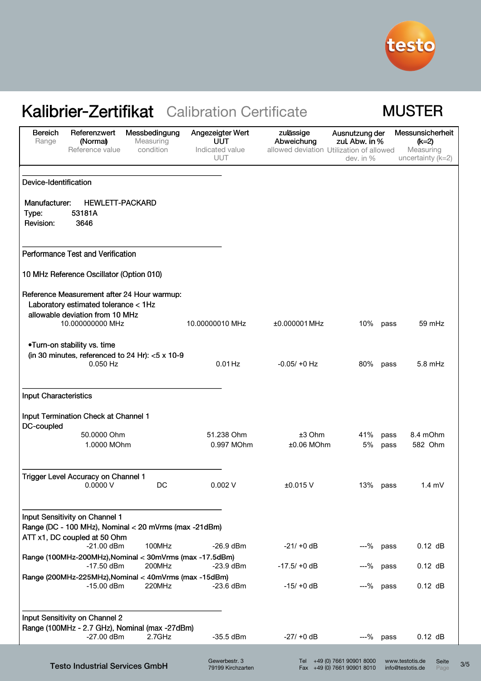

## **MUSTER**

| <b>Bereich</b><br>Range      | Referenzwert<br>(Normal)<br>Reference value                                                                            | Messbedingung<br>Measuring<br>condition | Angezeigter Wert<br>UUT<br>Indicated value<br><b>UUT</b> | zulässige<br>Abweichung<br>allowed deviation Utilization of allowed | Ausnutzung der<br>zul. Abw. in %<br>dev. in %              | Messunsicherheit<br>$(k=2)$<br>Measuring<br>uncertainty (k=2) |               |
|------------------------------|------------------------------------------------------------------------------------------------------------------------|-----------------------------------------|----------------------------------------------------------|---------------------------------------------------------------------|------------------------------------------------------------|---------------------------------------------------------------|---------------|
| Device-Identification        |                                                                                                                        |                                         |                                                          |                                                                     |                                                            |                                                               |               |
| Manufacturer:                | <b>HEWLETT-PACKARD</b>                                                                                                 |                                         |                                                          |                                                                     |                                                            |                                                               |               |
| Type:<br>Revision:           | 53181A<br>3646                                                                                                         |                                         |                                                          |                                                                     |                                                            |                                                               |               |
|                              | Performance Test and Verification                                                                                      |                                         |                                                          |                                                                     |                                                            |                                                               |               |
|                              | 10 MHz Reference Oscillator (Option 010)                                                                               |                                         |                                                          |                                                                     |                                                            |                                                               |               |
|                              | Reference Measurement after 24 Hour warmup:<br>Laboratory estimated tolerance < 1Hz<br>allowable deviation from 10 MHz |                                         |                                                          |                                                                     |                                                            |                                                               |               |
|                              | 10.000000000 MHz                                                                                                       |                                         | 10.00000010 MHz                                          | ±0.000001 MHz                                                       | 10%                                                        | 59 mHz<br>pass                                                |               |
|                              | .Turn-on stability vs. time<br>(in 30 minutes, referenced to 24 Hr): $<$ 5 x 10-9                                      |                                         |                                                          |                                                                     |                                                            |                                                               |               |
|                              | $0.050$ Hz                                                                                                             |                                         | $0.01$ Hz                                                | $-0.05/ +0$ Hz                                                      | 80%                                                        | $5.8$ mHz<br>pass                                             |               |
| <b>Input Characteristics</b> |                                                                                                                        |                                         |                                                          |                                                                     |                                                            |                                                               |               |
| DC-coupled                   | Input Termination Check at Channel 1                                                                                   |                                         |                                                          |                                                                     |                                                            |                                                               |               |
|                              | 50.0000 Ohm<br>1.0000 MOhm                                                                                             |                                         | 51.238 Ohm<br>0.997 MOhm                                 | $±3$ Ohm<br>$±0.06$ MOhm                                            | 41%<br>5%                                                  | 8.4 mOhm<br>pass<br>582 Ohm<br>pass                           |               |
|                              | Trigger Level Accuracy on Channel 1<br>0.0000V                                                                         | DC                                      | 0.002V                                                   | ±0.015 V                                                            | 13% pass                                                   | $1.4 \text{ mV}$                                              |               |
|                              | Input Sensitivity on Channel 1<br>Range (DC - 100 MHz), Nominal < 20 mVrms (max -21dBm)                                |                                         |                                                          |                                                                     |                                                            |                                                               |               |
|                              | ATT x1, DC coupled at 50 Ohm<br>$-21.00$ dBm                                                                           | 100MHz                                  | $-26.9$ dBm                                              | $-21/10 dB$                                                         | $-$ % pass                                                 | $0.12$ dB                                                     |               |
|                              | Range (100MHz-200MHz), Nominal < 30mVrms (max -17.5dBm)<br>$-17.50$ dBm                                                | 200MHz                                  | $-23.9$ dBm                                              | $-17.5/ +0$ dB                                                      | ---%                                                       | $0.12$ dB<br>pass                                             |               |
|                              | Range (200MHz-225MHz), Nominal < 40mVrms (max -15dBm)<br>$-15.00$ dBm                                                  | 220MHz                                  | $-23.6$ dBm                                              | $-15/ +0$ dB                                                        | ---% pass                                                  | $0.12$ dB                                                     |               |
|                              | Input Sensitivity on Channel 2<br>Range (100MHz - 2.7 GHz), Nominal (max -27dBm)                                       |                                         |                                                          |                                                                     |                                                            |                                                               |               |
|                              | $-27.00$ dBm                                                                                                           | 2.7GHz                                  | $-35.5$ dBm                                              | $-27/ +0$ dB                                                        | $-$ % pass                                                 | $0.12$ dB                                                     |               |
|                              | <b>Testo Industrial Services GmbH</b>                                                                                  |                                         | Gewerbestr. 3<br>79199 Kirchzarten                       |                                                                     | Tel +49 (0) 7661 90901 8000<br>Fax +49 (0) 7661 90901 8010 | www.testotis.de<br>info@testotis.de                           | Seite<br>Page |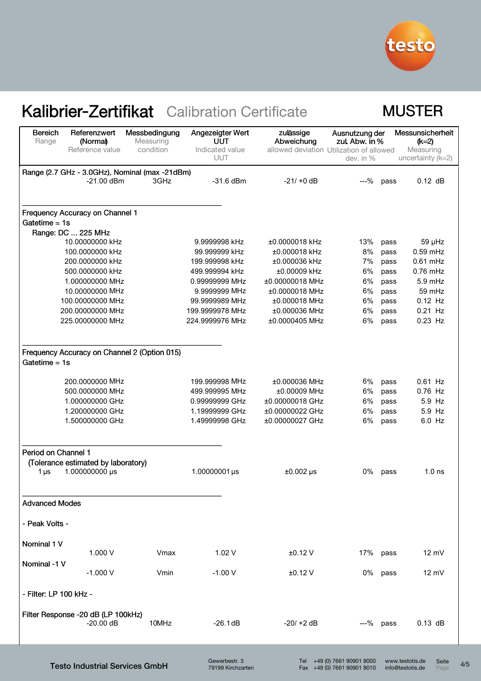

### **MUSTER**

| <b>Bereich</b><br>Range | Referenzwert<br>(Normal)                       | Messbedingung<br>Measuring | Angezeigter Wert<br>UUT       | zulässige<br>Abweichung                  | Ausnutzung der<br>zul. Abw. in % |      | Messunsicherheit<br>$(k=2)$      |
|-------------------------|------------------------------------------------|----------------------------|-------------------------------|------------------------------------------|----------------------------------|------|----------------------------------|
|                         | Reference value                                | condition                  | Indicated value<br><b>UUT</b> | allowed deviation Utilization of allowed | dev. in %                        |      | Measuring<br>uncertainty $(k=2)$ |
|                         | Range (2.7 GHz - 3.0GHz), Nominal (max -21dBm) |                            |                               |                                          |                                  |      |                                  |
|                         | $-21.00$ dBm                                   | 3GHz                       | $-31.6$ dBm                   | $-21/10$ dB                              | $-9/0$                           | pass | $0.12$ dB                        |
|                         | Frequency Accuracy on Channel 1                |                            |                               |                                          |                                  |      |                                  |
| Gatetime $= 1s$         |                                                |                            |                               |                                          |                                  |      |                                  |
|                         | Range: DC  225 MHz                             |                            |                               |                                          |                                  |      |                                  |
|                         | 10.00000000 kHz                                |                            | 9.9999998 kHz                 | ±0.0000018 kHz                           | 13%                              | pass | $59$ µHz                         |
|                         | 100.0000000 kHz                                |                            | 99.999999 kHz                 | ±0.000018 kHz                            | 8%                               | pass | $0.59$ mHz                       |
|                         | 200.0000000 kHz                                |                            | 199.999998 kHz                | ±0.000036 kHz                            | 7%                               | pass | $0.61$ mHz                       |
|                         | 500.0000000 kHz                                |                            | 499.999994 kHz                | ±0.00009 kHz                             | 6%                               | pass | $0.76$ mHz                       |
|                         | 1.000000000 MHz                                |                            | 0.99999999 MHz                | ±0.00000018 MHz                          | 6%                               | pass | $5.9$ mHz                        |
|                         | 10.00000000 MHz<br>100.00000000 MHz            |                            | 9.9999999 MHz                 | ±0.0000018 MHz                           | 6%                               | pass | 59 mHz                           |
|                         |                                                |                            | 99.9999989 MHz                | $±0.000018$ MHz                          | 6%                               | pass | $0.12$ Hz                        |
|                         | 200.00000000 MHz                               |                            | 199.9999978 MHz               | ±0.000036 MHz                            | 6%<br>6%                         | pass | $0.21$ Hz<br>$0.23$ Hz           |
|                         | 225.00000000 MHz                               |                            | 224.9999976 MHz               | ±0.0000405 MHz                           |                                  | pass |                                  |
| Gatetime $= 1s$         | Frequency Accuracy on Channel 2 (Option 015)   |                            |                               |                                          |                                  |      |                                  |
|                         | 200.0000000 MHz                                |                            | 199.999998 MHz                | ±0.000036 MHz                            | 6%                               | pass | $0.61$ Hz                        |
|                         | 500.0000000 MHz                                |                            | 499.999995 MHz                | ±0.00009 MHz                             | 6%                               | pass | 0.76 Hz                          |
|                         | 1.000000000 GHz                                |                            | 0.99999999 GHz                | ±0.00000018 GHz                          | 6%                               | pass | 5.9 Hz                           |
|                         | 1.200000000 GHz                                |                            | 1.19999999 GHz                | ±0.00000022 GHz                          | 6%                               | pass | 5.9 Hz                           |
|                         | 1.500000000 GHz                                |                            | 1.49999998 GHz                | ±0.00000027 GHz                          | 6%                               | pass | 6.0 Hz                           |
| Period on Channel 1     |                                                |                            |                               |                                          |                                  |      |                                  |
|                         | (Tolerance estimated by laboratory)            |                            |                               |                                          |                                  |      |                                  |
| 1 $\mu$ s               | 1.000000000 µs                                 |                            | 1.00000001µs                  | $±0.002$ µs                              | 0%                               | pass | 1.0 <sub>ns</sub>                |
| <b>Advanced Modes</b>   |                                                |                            |                               |                                          |                                  |      |                                  |
| - Peak Volts -          |                                                |                            |                               |                                          |                                  |      |                                  |
|                         |                                                |                            |                               |                                          |                                  |      |                                  |
| Nominal 1 V             |                                                |                            |                               |                                          |                                  |      |                                  |
|                         | 1.000 V                                        | Vmax                       | 1.02V                         | $±0.12$ V                                | 17%                              | pass | 12 mV                            |
| Nominal -1 V            |                                                |                            |                               |                                          |                                  |      |                                  |
|                         | $-1.000V$                                      | Vmin                       | $-1.00V$                      | $±0.12$ V                                | 0%                               | pass | 12 mV                            |
| - Filter: LP 100 kHz -  |                                                |                            |                               |                                          |                                  |      |                                  |
|                         | Filter Response -20 dB (LP 100kHz)             |                            |                               |                                          |                                  |      |                                  |
|                         | $-20.00$ dB                                    | 10MHz                      | $-26.1$ dB                    | $-20/ +2$ dB                             | ---% pass                        |      | $0.13$ dB                        |
|                         |                                                |                            |                               |                                          |                                  |      |                                  |

Testo Industrial Services GmbH

Gewerbestr. 3 79199 Kirchzarten Seite Seite 4/5